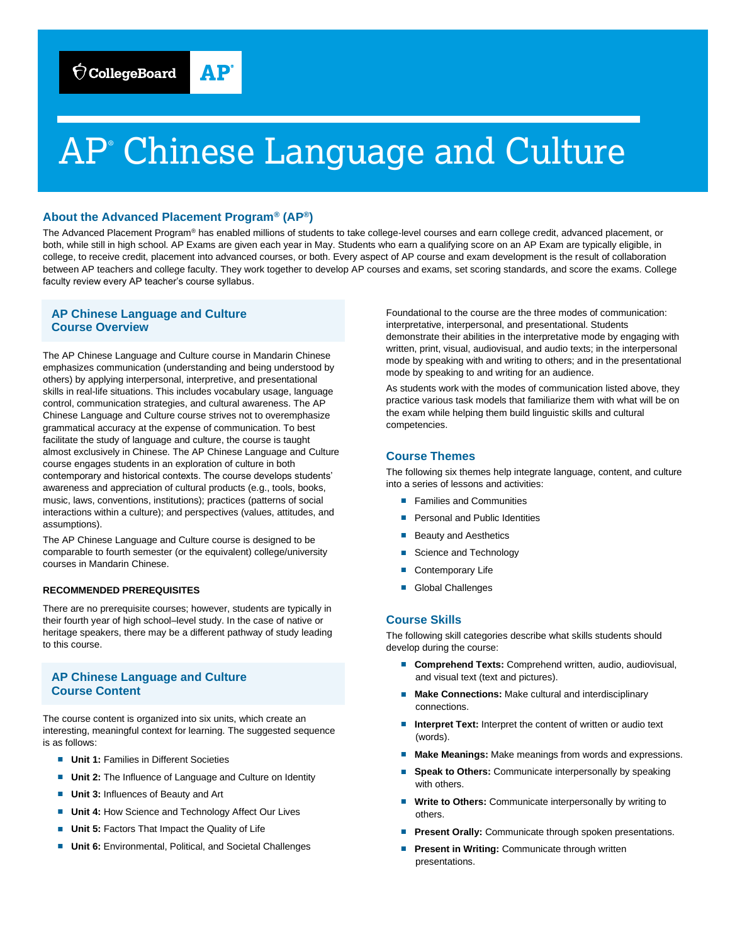

# AP<sup>®</sup> Chinese Language and Culture

# **About the Advanced Placement Program® (AP®)**

The Advanced Placement Program® has enabled millions of students to take college-level courses and earn college credit, advanced placement, or both, while still in high school. AP Exams are given each year in May. Students who earn a qualifying score on an AP Exam are typically eligible, in college, to receive credit, placement into advanced courses, or both. Every aspect of AP course and exam development is the result of collaboration between AP teachers and college faculty. They work together to develop AP courses and exams, set scoring standards, and score the exams. College faculty review every AP teacher's course syllabus.

# **AP Chinese Language and Culture Course Overview**

The AP Chinese Language and Culture course in Mandarin Chinese emphasizes communication (understanding and being understood by others) by applying interpersonal, interpretive, and presentational skills in real-life situations. This includes vocabulary usage, language control, communication strategies, and cultural awareness. The AP Chinese Language and Culture course strives not to overemphasize grammatical accuracy at the expense of communication. To best facilitate the study of language and culture, the course is taught almost exclusively in Chinese. The AP Chinese Language and Culture course engages students in an exploration of culture in both contemporary and historical contexts. The course develops students' awareness and appreciation of cultural products (e.g., tools, books, music, laws, conventions, institutions); practices (patterns of social interactions within a culture); and perspectives (values, attitudes, and assumptions).

The AP Chinese Language and Culture course is designed to be comparable to fourth semester (or the equivalent) college/university courses in Mandarin Chinese.

## **RECOMMENDED PREREQUISITES**

There are no prerequisite courses; however, students are typically in their fourth year of high school–level study. In the case of native or heritage speakers, there may be a different pathway of study leading to this course.

# **AP Chinese Language and Culture Course Content**

The course content is organized into six units, which create an interesting, meaningful context for learning. The suggested sequence is as follows:

- **Unit 1: Families in Different Societies**
- **Unit 2:** The Influence of Language and Culture on Identity
- **Unit 3: Influences of Beauty and Art**
- **Unit 4: How Science and Technology Affect Our Lives**
- **Unit 5: Factors That Impact the Quality of Life**
- **Unit 6:** Environmental, Political, and Societal Challenges

Foundational to the course are the three modes of communication: interpretative, interpersonal, and presentational. Students demonstrate their abilities in the interpretative mode by engaging with written, print, visual, audiovisual, and audio texts; in the interpersonal mode by speaking with and writing to others; and in the presentational mode by speaking to and writing for an audience.

As students work with the modes of communication listed above, they practice various task models that familiarize them with what will be on the exam while helping them build linguistic skills and cultural competencies.

## **Course Themes**

The following six themes help integrate language, content, and culture into a series of lessons and activities:

- Families and Communities
- Personal and Public Identities
- Beauty and Aesthetics
- Science and Technology
- Contemporary Life
- Global Challenges

## **Course Skills**

The following skill categories describe what skills students should develop during the course:

- **Comprehend Texts: Comprehend written, audio, audiovisual,** and visual text (text and pictures).
- **Make Connections: Make cultural and interdisciplinary** connections.
- **Interpret Text:** Interpret the content of written or audio text (words).
- Make Meanings: Make meanings from words and expressions.
- **Speak to Others:** Communicate interpersonally by speaking with others.
- **Write to Others:** Communicate interpersonally by writing to others.
- **Present Orally:** Communicate through spoken presentations.
- **Present in Writing: Communicate through written** presentations.